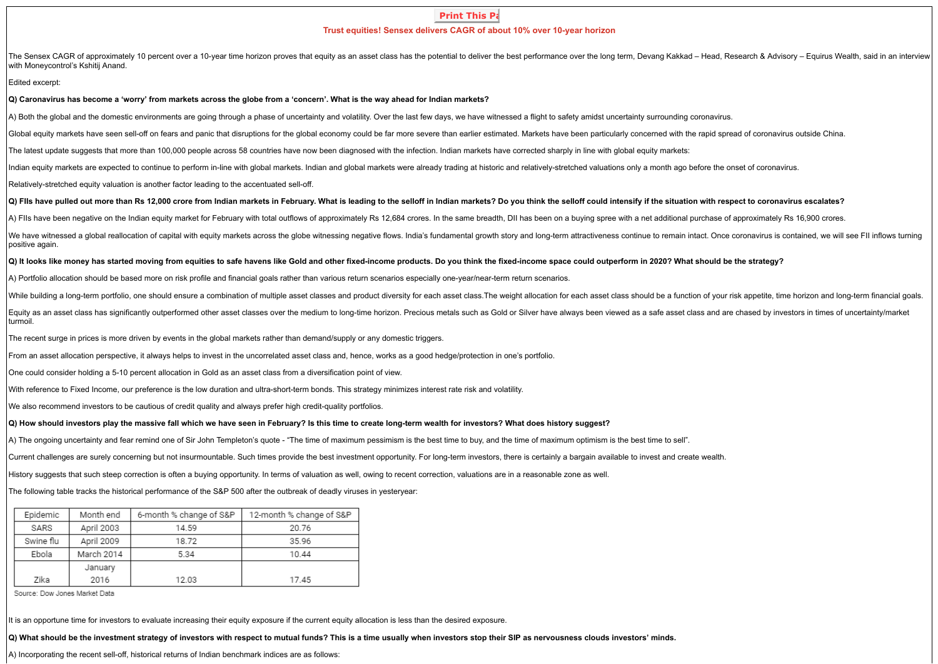# **Print This Pa Trust equities! Sensex delivers CAGR of about 10% over 10-year horizon**

The Sensex CAGR of approximately 10 percent over a 10-year time horizon proves that equity as an asset class has the potential to deliver the best performance over the long term, Devang Kakkad – Head, Research & Advisory – with Moneycontrol's Kshitij Anand.

#### Edited excerpt:

**Q) Caronavirus has become a 'worry' from markets across the globe from a 'concern'. What is the way ahead for Indian markets?**

A) Both the global and the domestic environments are going through a phase of uncertainty and volatility. Over the last few days, we have witnessed a flight to safety amidst uncertainty surrounding coronavirus.

Global equity markets have seen sell-off on fears and panic that disruptions for the global economy could be far more severe than earlier estimated. Markets have been particularly concerned with the rapid spread of coronav

The latest update suggests that more than 100,000 people across 58 countries have now been diagnosed with the infection. Indian markets have corrected sharply in line with global equity markets:

Indian equity markets are expected to continue to perform in-line with global markets. Indian and global markets were already trading at historic and relatively-stretched valuations only a month ago before the onset of cor

Relatively-stretched equity valuation is another factor leading to the accentuated sell-off.

### Q) Fils have pulled out more than Rs 12.000 crore from Indian markets in February. What is leading to the selloff in Indian markets? Do you think the selloff could intensify if the situation with respect to coronavirus esc

A) Fils have been negative on the Indian equity market for February with total outflows of approximately Rs 12.684 crores. In the same breadth, DII has been on a buying spree with a net additional purchase of approximately

We have witnessed a global reallocation of capital with equity markets across the globe witnessing negative flows. India's fundamental growth story and long-term attractiveness continue to remain intact. Once coronavirus i positive again.

## **Q) It looks like money has started moving from equities to safe havens like Gold and other fixed-income products. Do you think the fixed-income space could outperform in 2020? What should be the strategy?**

A) Portfolio allocation should be based more on risk profile and financial goals rather than various return scenarios especially one-year/near-term return scenarios.

While building a long-term portfolio, one should ensure a combination of multiple asset classes and product diversity for each asset class. The weight allocation for each asset class should be a function of your risk appet

Equity as an asset class has significantly outperformed other asset classes over the medium to long-time horizon. Precious metals such as Gold or Silver have always been viewed as a safe asset class and are chased by inves turmoil.

The recent surge in prices is more driven by events in the global markets rather than demand/supply or any domestic triggers.

From an asset allocation perspective, it always helps to invest in the uncorrelated asset class and, hence, works as a good hedge/protection in one's portfolio.

One could consider holding a 5-10 percent allocation in Gold as an asset class from a diversification point of view.

With reference to Fixed Income, our preference is the low duration and ultra-short-term bonds. This strategy minimizes interest rate risk and volatility.

We also recommend investors to be cautious of credit quality and always prefer high credit-quality portfolios.

# **Q) How should investors play the massive fall which we have seen in February? Is this time to create long-term wealth for investors? What does history suggest?**

A) The ongoing uncertainty and fear remind one of Sir John Templeton's quote - "The time of maximum pessimism is the best time to buy, and the time of maximum optimism is the best time to sell".

Current challenges are surely concerning but not insurmountable. Such times provide the best investment opportunity. For long-term investors, there is certainly a bargain available to invest and create wealth.

History suggests that such steep correction is often a buying opportunity. In terms of valuation as well, owing to recent correction, valuations are in a reasonable zone as well.

The following table tracks the historical performance of the S&P 500 after the outbreak of deadly viruses in yesteryear:

| Epidemic  | Month end  | 6-month % change of S&P | 12-month % change of S&P |  |
|-----------|------------|-------------------------|--------------------------|--|
| SARS      | April 2003 | 14.59                   | 20.76                    |  |
| Swine flu | April 2009 | 18.72                   | 35.96                    |  |
| Ebola     | March 2014 | 5.34                    | 10.44                    |  |
|           | January    |                         |                          |  |
| Zika      | 2016       | 12.03                   | 17.45                    |  |

Source: Dow Jones Market Data

It is an opportune time for investors to evaluate increasing their equity exposure if the current equity allocation is less than the desired exposure.

**Q) What should be the investment strategy of investors with respect to mutual funds? This is a time usually when investors stop their SIP as nervousness clouds investors' minds.**

A) Incorporating the recent sell-off, historical returns of Indian benchmark indices are as follows: